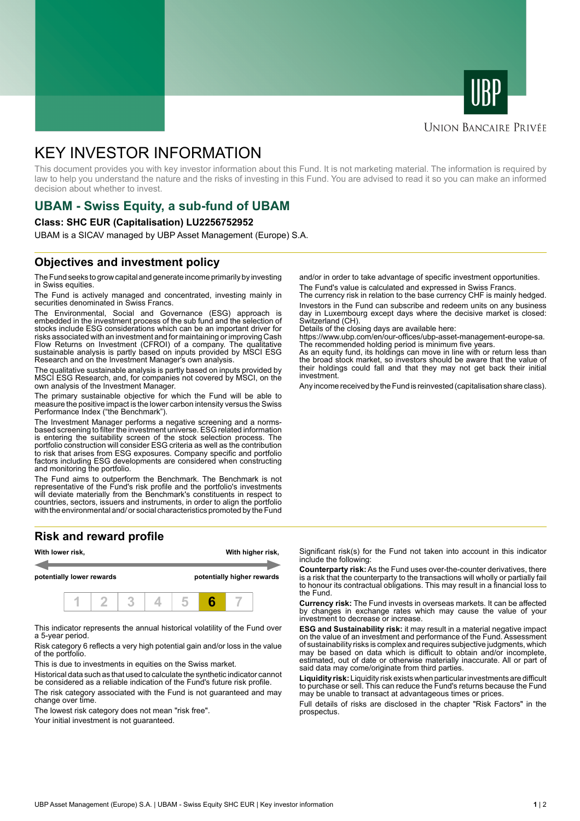



#### **UNION BANCAIRE PRIVÉE**

# KEY INVESTOR INFORMATION

This document provides you with key investor information about this Fund. It is not marketing material. The information is required by law to help you understand the nature and the risks of investing in this Fund. You are advised to read it so you can make an informed decision about whether to invest.

## **UBAM - Swiss Equity, a sub-fund of UBAM**

#### **Class: SHC EUR (Capitalisation) LU2256752952**

UBAM is a SICAV managed by UBP Asset Management (Europe) S.A.

### **Objectives and investment policy**

The Fund seeks to grow capital and generate income primarily by investing in Swiss equities.

The Fund is actively managed and concentrated, investing mainly in securities denominated in Swiss Francs.

The Environmental, Social and Governance (ESG) approach is embedded in the investment process of the sub fund and the selection of stocks include ESG considerations which can be an important driver for risks associated with an investment and for maintaining or improving Cash Flow Returns on Investment (CFROI) of a company. The qualitative sustainable analysis is partly based on inputs provided by MSCI ESG Research and on the Investment Manager's own analysis.

The qualitative sustainable analysis is partly based on inputs provided by MSCI ESG Research, and, for companies not covered by MSCI, on the own analysis of the Investment Manager.

The primary sustainable objective for which the Fund will be able to measure the positive impact is the lower carbon intensity versus the Swiss Performance Index ("the Benchmark").

The Investment Manager performs a negative screening and a normsbased screening to filter the investment universe. ESG related information is entering the suitability screen of the stock selection process. The portfolio construction will consider ESG criteria as well as the contribution to risk that arises from ESG exposures. Company specific and portfolio factors including ESG developments are considered when constructing and monitoring the portfolio.

The Fund aims to outperform the Benchmark. The Benchmark is not representative of the Fund's risk profile and the portfolio's investments will deviate materially from the Benchmark's constituents in respect to countries, sectors, issuers and instruments, in order to align the portfolio with the environmental and/ or social characteristics promoted by the Fund

### **Risk and reward profile**



This indicator represents the annual historical volatility of the Fund over a 5-year period.

Risk category 6 reflects a very high potential gain and/or loss in the value of the portfolio.

This is due to investments in equities on the Swiss market.

Historical data such as that used to calculate the synthetic indicator cannot be considered as a reliable indication of the Fund's future risk profile. The risk category associated with the Fund is not guaranteed and may change over time.

The lowest risk category does not mean "risk free".

Your initial investment is not guaranteed.

and/or in order to take advantage of specific investment opportunities. The Fund's value is calculated and expressed in Swiss Francs.

The currency risk in relation to the base currency CHF is mainly hedged. Investors in the Fund can subscribe and redeem units on any business day in Luxembourg except days where the decisive market is closed: Switzerland (CH).

Details of the closing days are available here:

https://www.ubp.com/en/our-offices/ubp-asset-management-europe-sa. The recommended holding period is minimum five years.

As an equity fund, its holdings can move in line with or return less than the broad stock market, so investors should be aware that the value of their holdings could fall and that they may not get back their initial investment.

Any income received by the Fund is reinvested (capitalisation share class).

Significant risk(s) for the Fund not taken into account in this indicator include the following:

**Counterparty risk:** As the Fund uses over-the-counter derivatives, there is a risk that the counterparty to the transactions will wholly or partially fail to honour its contractual obligations. This may result in a financial loss to the Fund.

**Currency risk:** The Fund invests in overseas markets. It can be affected by changes in exchange rates which may cause the value of your investment to decrease or increase.

**ESG and Sustainability risk:** it may result in a material negative impact on the value of an investment and performance of the Fund. Assessment of sustainability risks is complex and requires subjective judgments, which may be based on data which is difficult to obtain and/or incomplete, estimated, out of date or otherwise materially inaccurate. All or part of said data may come/originate from third parties.

**Liquidity risk:** Liquidity risk exists when particular investments are difficult to purchase or sell. This can reduce the Fund's returns because the Fund may be unable to transact at advantageous times or prices.

Full details of risks are disclosed in the chapter "Risk Factors" in the prospectus.